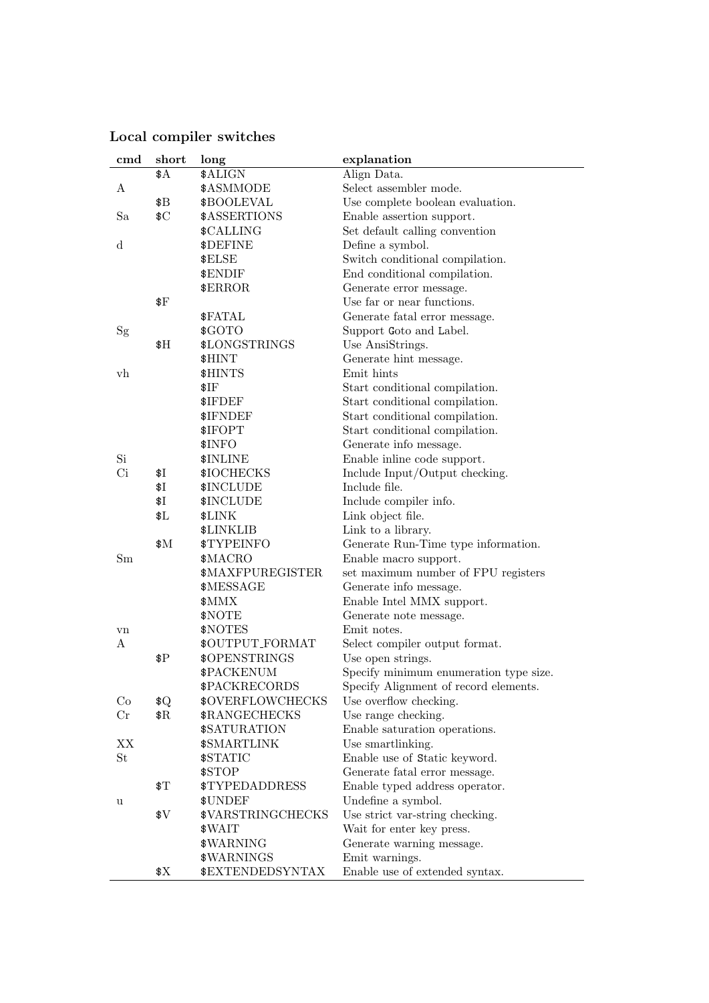| cmd            | short         | long                     | explanation                            |
|----------------|---------------|--------------------------|----------------------------------------|
|                | \$A           | \$ALIGN                  | Align Data.                            |
| A              |               | \$ASMMODE                | Select assembler mode.                 |
|                | \$B           | \$BOOLEVAL               | Use complete boolean evaluation.       |
| Sa             | C             | \$ASSERTIONS             | Enable assertion support.              |
|                |               | \$CALLING                | Set default calling convention         |
| d              |               | \$DEFINE                 | Define a symbol.                       |
|                |               | \$ELSE                   | Switch conditional compilation.        |
|                |               | \$ENDIF                  | End conditional compilation.           |
|                |               | \$ERROR                  | Generate error message.                |
|                | $_{*}$        |                          | Use far or near functions.             |
|                |               | \$FATAL                  | Generate fatal error message.          |
| Sg             |               | \$GOTO                   | Support Goto and Label.                |
|                | \$H\$         | \$LONGSTRINGS            | Use AnsiStrings.                       |
|                |               | \$HINT                   | Generate hint message.                 |
| v <sub>h</sub> |               | \$HINTS                  | Emit hints                             |
|                |               | \$IF                     | Start conditional compilation.         |
|                |               | \$IFDEF                  | Start conditional compilation.         |
|                |               | \$IFNDEF                 | Start conditional compilation.         |
|                |               | \$IFOPT                  | Start conditional compilation.         |
|                |               | \$INFO                   | Generate info message.                 |
| Si             |               | \$INLINE                 | Enable inline code support.            |
| Ci             | \$Ι           | \$IOCHECKS               | Include Input/Output checking.         |
|                | \$Ι           | \$INCLUDE                | Include file.                          |
|                | \$Ι           | \$INCLUDE                | Include compiler info.                 |
|                | \$L\$         | \$LINK                   | Link object file.                      |
|                |               | \$LINKLIB                | Link to a library.                     |
|                | \$M           | \$TYPEINFO               | Generate Run-Time type information.    |
| Sm             |               | \$MACRO                  | Enable macro support.                  |
|                |               | \$MAXFPUREGISTER         | set maximum number of FPU registers    |
|                |               | \$MESSAGE                | Generate info message.                 |
|                |               | \$MMX                    | Enable Intel MMX support.              |
|                |               | \$NOTE                   | Generate note message.                 |
| vn             |               | \$NOTES                  | Emit notes.                            |
| A              |               | \$OUTPUT_FORMAT          | Select compiler output format.         |
|                | $\rm \$P$     | \$OPENSTRINGS            | Use open strings.                      |
|                |               | \$PACKENUM               | Specify minimum enumeration type size. |
|                |               | \$PACKRECORDS            | Specify Alignment of record elements.  |
| Co             | \$Q           | <b>\$OVERFLOWCHECKS</b>  | Use overflow checking.                 |
| $_{\rm Cr}$    | $\Re$         | \$RANGECHECKS            | Use range checking.                    |
|                |               | \$SATURATION             | Enable saturation operations.          |
| ΧX             |               | \$SMARTLINK              | Use smartlinking.                      |
| St             |               | \$STATIC                 | Enable use of Static keyword.          |
|                |               | \$STOP                   | Generate fatal error message.          |
|                | $\sqrt[6]{1}$ | <b>\$TYPEDADDRESS</b>    | Enable typed address operator.         |
| u              |               | \$UNDEF                  | Undefine a symbol.                     |
|                | \$V\$         | <b>\$VARSTRINGCHECKS</b> | Use strict var-string checking.        |
|                |               | \$WAIT                   | Wait for enter key press.              |
|                |               | \$WARNING                | Generate warning message.              |
|                |               | \$WARNINGS               | Emit warnings.                         |
|                | \$Х           | <b>\$EXTENDEDSYNTAX</b>  | Enable use of extended syntax.         |